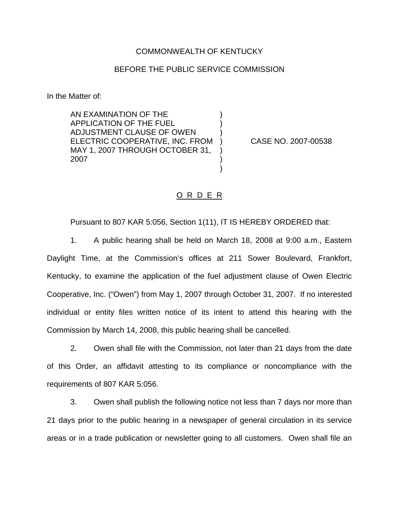## COMMONWEALTH OF KENTUCKY

## BEFORE THE PUBLIC SERVICE COMMISSION

) ) )

) ) )

In the Matter of:

AN EXAMINATION OF THE APPLICATION OF THE FUEL ADJUSTMENT CLAUSE OF OWEN ELECTRIC COOPERATIVE, INC. FROM MAY 1, 2007 THROUGH OCTOBER 31, 2007

) CASE NO. 2007-00538

## O R D E R

Pursuant to 807 KAR 5:056, Section 1(11), IT IS HEREBY ORDERED that:

1. A public hearing shall be held on March 18, 2008 at 9:00 a.m., Eastern Daylight Time, at the Commission's offices at 211 Sower Boulevard, Frankfort, Kentucky, to examine the application of the fuel adjustment clause of Owen Electric Cooperative, Inc. ("Owen") from May 1, 2007 through October 31, 2007. If no interested individual or entity files written notice of its intent to attend this hearing with the Commission by March 14, 2008, this public hearing shall be cancelled.

2. Owen shall file with the Commission, not later than 21 days from the date of this Order, an affidavit attesting to its compliance or noncompliance with the requirements of 807 KAR 5:056.

3. Owen shall publish the following notice not less than 7 days nor more than 21 days prior to the public hearing in a newspaper of general circulation in its service areas or in a trade publication or newsletter going to all customers. Owen shall file an